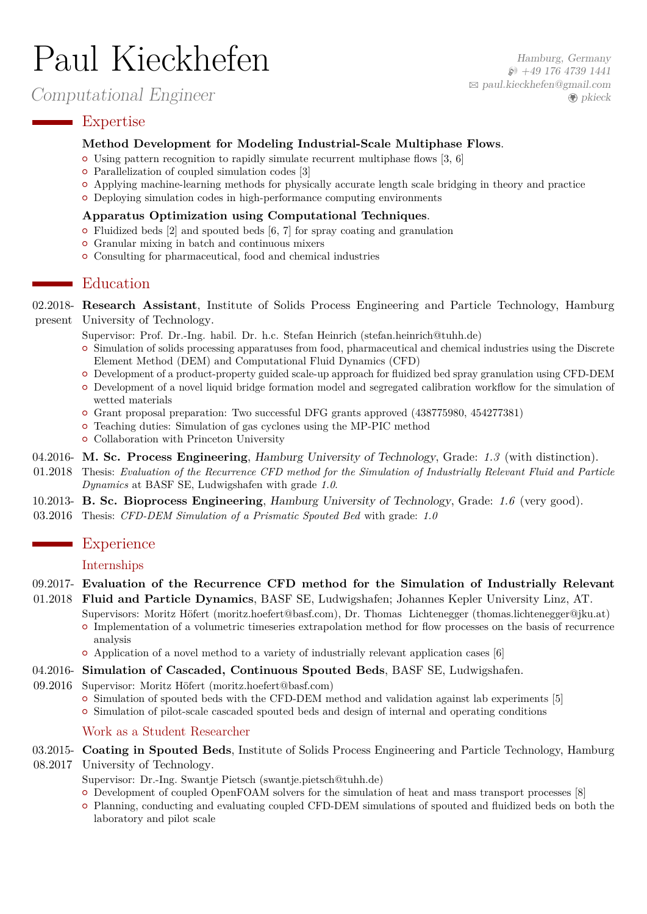# Paul Kieckhefen

Computational Engineer

Hamburg, Germany  $\wp$  [+49 176 4739 1441](tel:+4917647391441) B [paul.kieckhefen@gmail.com](mailto:paul.kieckhefen@gmail.com)  $\bigcirc$  [pkieck](http://www.github.com/pkieck)

# **Expertise**

#### **Method Development for Modeling Industrial-Scale Multiphase Flows**.

- { Using pattern recognition to rapidly simulate recurrent multiphase flows [\[3,](#page-1-0) [6\]](#page-1-1)
- Parallelization of coupled simulation codes [\[3\]](#page-1-0)
- { Applying machine-learning methods for physically accurate length scale bridging in theory and practice
- { Deploying simulation codes in high-performance computing environments

#### **Apparatus Optimization using Computational Techniques**.

- $\circ$  Fluidized beds [\[2\]](#page-1-2) and spouted beds [\[6,](#page-1-1) [7\]](#page-1-3) for spray coating and granulation
- { [Granular mixing in batch and continuous mixers](https://www.tuhh.de/spe/research/simulation-portfolio.html)
- $\circ$  Consulting for pharmaceutical, food and chemical industries

# **E**ducation

02.2018- **Research Assistant**, Institute of Solids Process Engineering and Particle Technology, Hamburg present University of Technology.

Supervisor: [Prof. Dr.-Ing. habil. Dr. h.c. Stefan Heinrich \(stefan.heinrich@tuhh.de\)](mailto:stefan.heinrich@tuhh.de)

- { Simulation of [solids processing apparatuses from food, pharmaceutical and chemical industries](https://www.tuhh.de/spe/research/simulation-portfolio.html) using the Discrete Element Method (DEM) and Computational Fluid Dynamics (CFD)
- { Development of a product-property guided scale-up approach for fluidized bed spray granulation using CFD-DEM { Development of a novel liquid bridge formation model and segregated calibration workflow for the simulation of wetted materials
- { Grant proposal preparation: Two successful DFG grants approved [\(438775980,](https://gepris.dfg.de/gepris/projekt/438775980) [454277381\)](https://gepris.dfg.de/gepris/projekt/454277381)
- { Teaching duties: Simulation of gas cyclones using the MP-PIC method
- $\circ$  Collaboration with [Princeton University](https://multiphase.princeton.edu)
- 04.2016- **M. Sc. Process Engineering**, Hamburg University of Technology, Grade: *1.3* (with distinction).
- 01.2018 Thesis: *Evaluation of the Recurrence CFD method for the Simulation of Industrially Relevant Fluid and Particle Dynamics* at BASF SE, Ludwigshafen with grade *1.0*.
- 10.2013- **B. Sc. Bioprocess Engineering**, Hamburg University of Technology, Grade: *1.6* (very good).
- 03.2016 Thesis: *CFD-DEM Simulation of a Prismatic Spouted Bed* with grade: *1.0*

#### **Experience**

# Internships

#### 09.2017- **Evaluation of the Recurrence CFD method for the Simulation of Industrially Relevant**

01.2018 **Fluid and Particle Dynamics**, BASF SE, Ludwigshafen; Johannes Kepler University Linz, AT.

Supervisors: [Moritz Höfert \(moritz.hoefert@basf.com\),](mailto:moritz.hoefert@basf.com) [Dr. Thomas Lichtenegger \(thomas.lichtenegger@jku.at\)](mailto:thomas.lichtenegger@jku.at) { Implementation of a volumetric timeseries extrapolation method for flow processes on the basis of recurrence analysis

- { Application of a novel method to a variety of industrially relevant application cases [\[6\]](#page-1-1)
- 04.2016- **Simulation of Cascaded, Continuous Spouted Beds**, BASF SE, Ludwigshafen.
- 09.2016 Supervisor: [Moritz Höfert \(moritz.hoefert@basf.com\)](mailto:moritz.hoefert@basf.com)
	- $\circ$  Simulation of spouted beds with the CFD-DEM method and validation against lab experiments [\[5\]](#page-1-4)
	- { Simulation of pilot-scale cascaded spouted beds and design of internal and operating conditions

#### Work as a Student Researcher

03.2015- **Coating in Spouted Beds**, Institute of Solids Process Engineering and Particle Technology, Hamburg

- 08.2017 University of Technology.
	- Supervisor: [Dr.-Ing. Swantje Pietsch \(swantje.pietsch@tuhh.de\)](mailto:swantje.pietsch@tuhh.de)
	- { Development of coupled OpenFOAM solvers for the simulation of heat and mass transport processes [\[8\]](#page-1-5)
	- { Planning, conducting and evaluating coupled CFD-DEM simulations of spouted and fluidized beds on both the laboratory and pilot scale